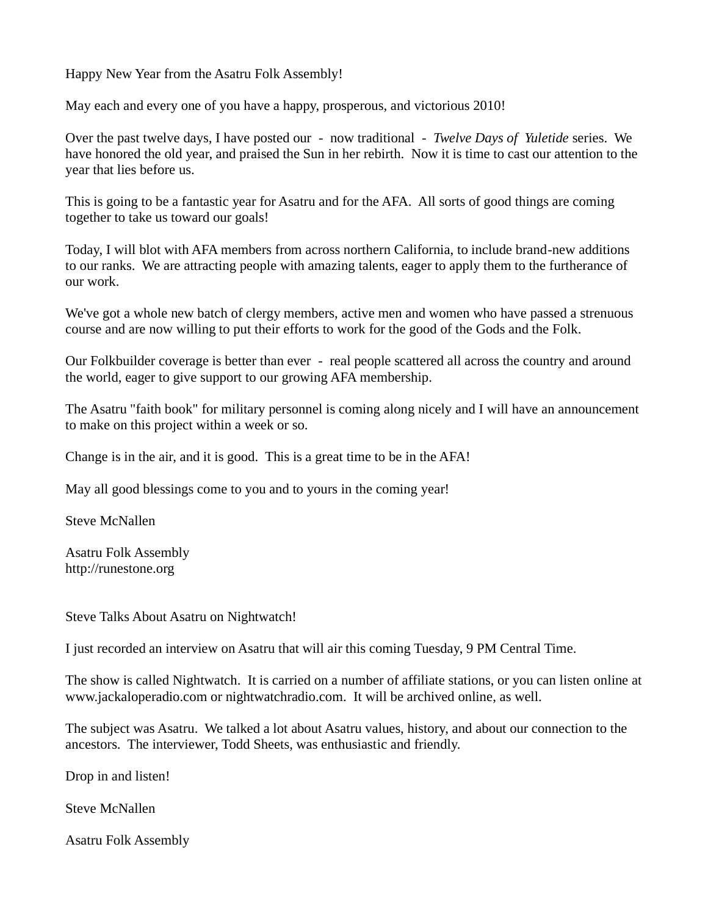Happy New Year from the Asatru Folk Assembly!

May each and every one of you have a happy, prosperous, and victorious 2010!

Over the past twelve days, I have posted our - now traditional - *Twelve Days of Yuletide* series. We have honored the old year, and praised the Sun in her rebirth. Now it is time to cast our attention to the year that lies before us.

This is going to be a fantastic year for Asatru and for the AFA. All sorts of good things are coming together to take us toward our goals!

Today, I will blot with AFA members from across northern California, to include brand-new additions to our ranks. We are attracting people with amazing talents, eager to apply them to the furtherance of our work.

We've got a whole new batch of clergy members, active men and women who have passed a strenuous course and are now willing to put their efforts to work for the good of the Gods and the Folk.

Our Folkbuilder coverage is better than ever - real people scattered all across the country and around the world, eager to give support to our growing AFA membership.

The Asatru "faith book" for military personnel is coming along nicely and I will have an announcement to make on this project within a week or so.

Change is in the air, and it is good. This is a great time to be in the AFA!

May all good blessings come to you and to yours in the coming year!

Steve McNallen

Asatru Folk Assembly [http://runestone.org](http://runestone.org/)

Steve Talks About Asatru on Nightwatch!

I just recorded an interview on Asatru that will air this coming Tuesday, 9 PM Central Time.

The show is called Nightwatch. It is carried on a number of affiliate stations, or you can listen online at www.jackaloperadio.com or nightwatchradio.com. It will be archived online, as well.

The subject was Asatru. We talked a lot about Asatru values, history, and about our connection to the ancestors. The interviewer, Todd Sheets, was enthusiastic and friendly.

Drop in and listen!

Steve McNallen

Asatru Folk Assembly